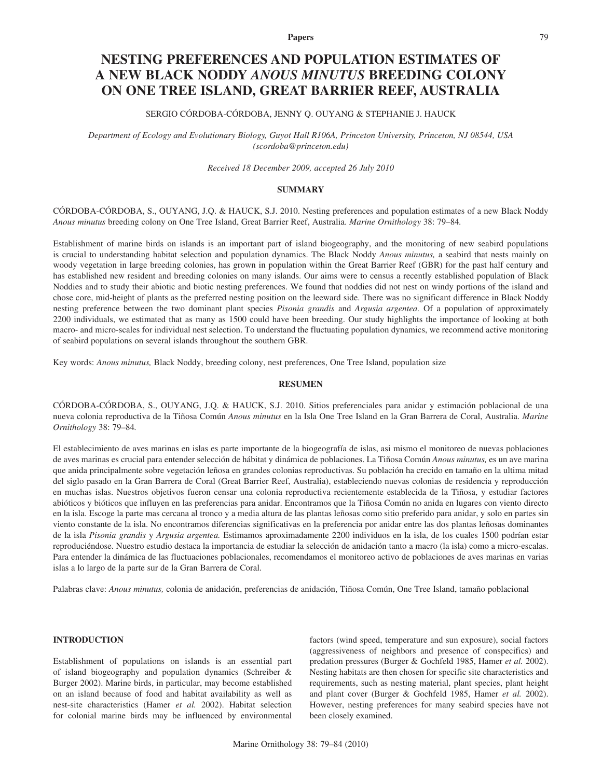# **NESTING PREFERENCES AND POPULATION ESTIMATES OF A NEW BLACK NODDY** *ANOUS MINUTUS* **BREEDING COLONY ON ONE TREE ISLAND, GREAT BARRIER REEF, AUSTRALIA**

# SERGIO CÓRDOBA-CÓRDOBA, JENNY Q. OUYANG & STEPHANIE J. HAUCK

*Department of Ecology and Evolutionary Biology, Guyot Hall R106A, Princeton University, Princeton, NJ 08544, USA (scordoba@princeton.edu)*

*Received 18 December 2009, accepted 26 July 2010*

# **SUMMARY**

CÓRDOBA-CÓRDOBA, S., OUYANG, J.Q. & HAUCK, S.J. 2010. Nesting preferences and population estimates of a new Black Noddy *Anous minutus* breeding colony on One Tree Island, Great Barrier Reef, Australia. *Marine Ornithology* 38: 79–84*.*

Establishment of marine birds on islands is an important part of island biogeography, and the monitoring of new seabird populations is crucial to understanding habitat selection and population dynamics. The Black Noddy *Anous minutus,* a seabird that nests mainly on woody vegetation in large breeding colonies, has grown in population within the Great Barrier Reef (GBR) for the past half century and has established new resident and breeding colonies on many islands. Our aims were to census a recently established population of Black Noddies and to study their abiotic and biotic nesting preferences. We found that noddies did not nest on windy portions of the island and chose core, mid-height of plants as the preferred nesting position on the leeward side. There was no significant difference in Black Noddy nesting preference between the two dominant plant species *Pisonia grandis* and *Argusia argentea.* Of a population of approximately 2200 individuals, we estimated that as many as 1500 could have been breeding. Our study highlights the importance of looking at both macro- and micro-scales for individual nest selection. To understand the fluctuating population dynamics, we recommend active monitoring of seabird populations on several islands throughout the southern GBR.

Key words: *Anous minutus,* Black Noddy, breeding colony, nest preferences, One Tree Island, population size

### **RESUMEN**

CÓRDOBA-CÓRDOBA, S., OUYANG, J.Q. & HAUCK, S.J. 2010. Sitios preferenciales para anidar y estimación poblacional de una nueva colonia reproductiva de la Tiñosa Común *Anous minutus* en la Isla One Tree Island en la Gran Barrera de Coral, Australia. *Marine Ornithology* 38: 79–84*.*

El establecimiento de aves marinas en islas es parte importante de la biogeografía de islas, asi mismo el monitoreo de nuevas poblaciones de aves marinas es crucial para entender selección de hábitat y dinámica de poblaciones. La Tiñosa Común *Anous minutus,* es un ave marina que anida principalmente sobre vegetación leñosa en grandes colonias reproductivas. Su población ha crecido en tamaño en la ultima mitad del siglo pasado en la Gran Barrera de Coral (Great Barrier Reef, Australia), estableciendo nuevas colonias de residencia y reproducción en muchas islas. Nuestros objetivos fueron censar una colonia reproductiva recientemente establecida de la Tiñosa, y estudiar factores abióticos y bióticos que influyen en las preferencias para anidar. Encontramos que la Tiñosa Común no anida en lugares con viento directo en la isla. Escoge la parte mas cercana al tronco y a media altura de las plantas leñosas como sitio preferido para anidar, y solo en partes sin viento constante de la isla. No encontramos diferencias significativas en la preferencia por anidar entre las dos plantas leñosas dominantes de la isla *Pisonia grandis* y *Argusia argentea.* Estimamos aproximadamente 2200 individuos en la isla, de los cuales 1500 podrían estar reproduciéndose. Nuestro estudio destaca la importancia de estudiar la selección de anidación tanto a macro (la isla) como a micro-escalas. Para entender la dinámica de las fluctuaciones poblacionales, recomendamos el monitoreo activo de poblaciones de aves marinas en varias islas a lo largo de la parte sur de la Gran Barrera de Coral.

Palabras clave: *Anous minutus,* colonia de anidación, preferencias de anidación, Tiñosa Común, One Tree Island, tamaño poblacional

### **INTRODUCTION**

Establishment of populations on islands is an essential part of island biogeography and population dynamics (Schreiber & Burger 2002). Marine birds, in particular, may become established on an island because of food and habitat availability as well as nest-site characteristics (Hamer *et al.* 2002). Habitat selection for colonial marine birds may be influenced by environmental factors (wind speed, temperature and sun exposure), social factors (aggressiveness of neighbors and presence of conspecifics) and predation pressures (Burger & Gochfeld 1985, Hamer *et al.* 2002). Nesting habitats are then chosen for specific site characteristics and requirements, such as nesting material, plant species, plant height and plant cover (Burger & Gochfeld 1985, Hamer *et al.* 2002). However, nesting preferences for many seabird species have not been closely examined.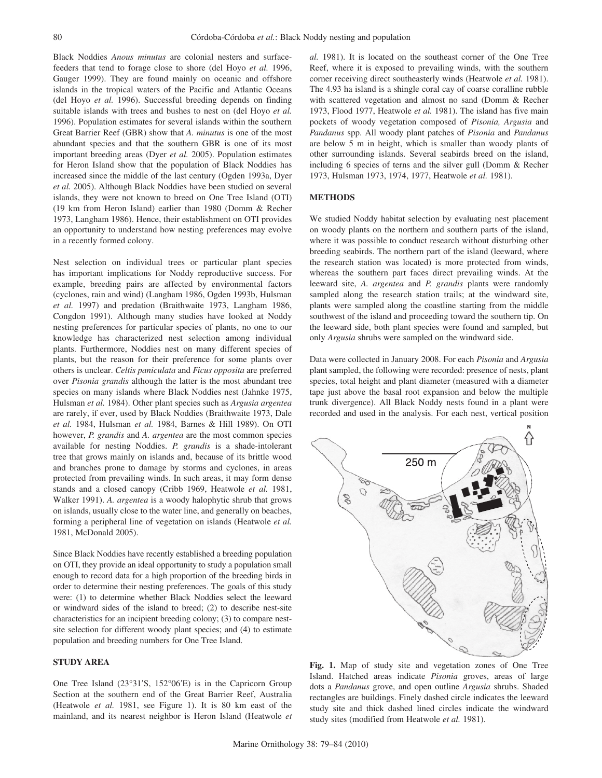Black Noddies *Anous minutus* are colonial nesters and surfacefeeders that tend to forage close to shore (del Hoyo *et al.* 1996, Gauger 1999). They are found mainly on oceanic and offshore islands in the tropical waters of the Pacific and Atlantic Oceans (del Hoyo *et al.* 1996). Successful breeding depends on finding suitable islands with trees and bushes to nest on (del Hoyo *et al.* 1996). Population estimates for several islands within the southern Great Barrier Reef (GBR) show that *A. minutus* is one of the most abundant species and that the southern GBR is one of its most important breeding areas (Dyer *et al.* 2005). Population estimates for Heron Island show that the population of Black Noddies has increased since the middle of the last century (Ogden 1993a, Dyer *et al.* 2005). Although Black Noddies have been studied on several islands, they were not known to breed on One Tree Island (OTI) (19 km from Heron Island) earlier than 1980 (Domm & Recher 1973, Langham 1986). Hence, their establishment on OTI provides an opportunity to understand how nesting preferences may evolve in a recently formed colony.

Nest selection on individual trees or particular plant species has important implications for Noddy reproductive success. For example, breeding pairs are affected by environmental factors (cyclones, rain and wind) (Langham 1986, Ogden 1993b, Hulsman *et al.* 1997) and predation (Braithwaite 1973, Langham 1986, Congdon 1991). Although many studies have looked at Noddy nesting preferences for particular species of plants, no one to our knowledge has characterized nest selection among individual plants. Furthermore, Noddies nest on many different species of plants, but the reason for their preference for some plants over others is unclear. *Celtis paniculata* and *Ficus opposita* are preferred over *Pisonia grandis* although the latter is the most abundant tree species on many islands where Black Noddies nest (Jahnke 1975, Hulsman *et al.* 1984). Other plant species such as *Argusia argentea* are rarely, if ever, used by Black Noddies (Braithwaite 1973, Dale *et al.* 1984, Hulsman *et al.* 1984, Barnes & Hill 1989). On OTI however, *P. grandis* and *A. argentea* are the most common species available for nesting Noddies. *P. grandis* is a shade-intolerant tree that grows mainly on islands and, because of its brittle wood and branches prone to damage by storms and cyclones, in areas protected from prevailing winds. In such areas, it may form dense stands and a closed canopy (Cribb 1969, Heatwole *et al.* 1981, Walker 1991). *A. argentea* is a woody halophytic shrub that grows on islands, usually close to the water line, and generally on beaches, forming a peripheral line of vegetation on islands (Heatwole *et al.* 1981, McDonald 2005).

Since Black Noddies have recently established a breeding population on OTI, they provide an ideal opportunity to study a population small enough to record data for a high proportion of the breeding birds in order to determine their nesting preferences. The goals of this study were: (1) to determine whether Black Noddies select the leeward or windward sides of the island to breed; (2) to describe nest-site characteristics for an incipient breeding colony; (3) to compare nestsite selection for different woody plant species; and (4) to estimate population and breeding numbers for One Tree Island.

# **STUDY AREA**

One Tree Island (23°31′S, 152°06′E) is in the Capricorn Group Section at the southern end of the Great Barrier Reef, Australia (Heatwole *et al.* 1981, see Figure 1). It is 80 km east of the mainland, and its nearest neighbor is Heron Island (Heatwole *et*  *al.* 1981). It is located on the southeast corner of the One Tree Reef, where it is exposed to prevailing winds, with the southern corner receiving direct southeasterly winds (Heatwole *et al.* 1981). The 4.93 ha island is a shingle coral cay of coarse coralline rubble with scattered vegetation and almost no sand (Domm & Recher 1973, Flood 1977, Heatwole *et al.* 1981). The island has five main pockets of woody vegetation composed of *Pisonia, Argusia* and *Pandanus* spp. All woody plant patches of *Pisonia* and *Pandanus* are below 5 m in height, which is smaller than woody plants of other surrounding islands. Several seabirds breed on the island, including 6 species of terns and the silver gull (Domm & Recher 1973, Hulsman 1973, 1974, 1977, Heatwole *et al.* 1981).

# **METHODS**

We studied Noddy habitat selection by evaluating nest placement on woody plants on the northern and southern parts of the island, where it was possible to conduct research without disturbing other breeding seabirds. The northern part of the island (leeward, where the research station was located) is more protected from winds, whereas the southern part faces direct prevailing winds. At the leeward site, *A. argentea* and *P. grandis* plants were randomly sampled along the research station trails; at the windward site, plants were sampled along the coastline starting from the middle southwest of the island and proceeding toward the southern tip. On the leeward side, both plant species were found and sampled, but only *Argusia* shrubs were sampled on the windward side.

Data were collected in January 2008. For each *Pisonia* and *Argusia* plant sampled, the following were recorded: presence of nests, plant species, total height and plant diameter (measured with a diameter tape just above the basal root expansion and below the multiple trunk divergence). All Black Noddy nests found in a plant were recorded and used in the analysis. For each nest, vertical position



**Fig. 1.** Map of study site and vegetation zones of One Tree Island. Hatched areas indicate *Pisonia* groves, areas of large dots a *Pandanus* grove, and open outline *Argusia* shrubs. Shaded rectangles are buildings. Finely dashed circle indicates the leeward study site and thick dashed lined circles indicate the windward study sites (modified from Heatwole *et al.* 1981).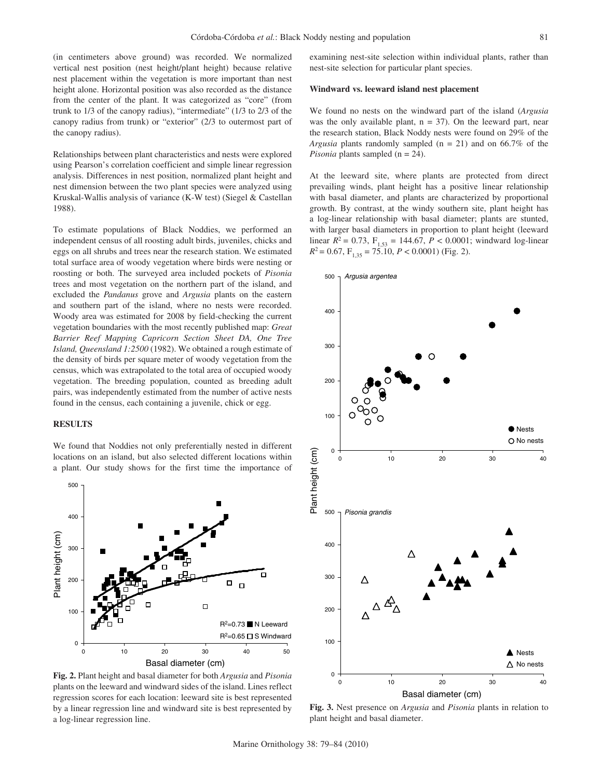(in centimeters above ground) was recorded. We normalized vertical nest position (nest height/plant height) because relative nest placement within the vegetation is more important than nest height alone. Horizontal position was also recorded as the distance from the center of the plant. It was categorized as "core" (from trunk to 1/3 of the canopy radius), "intermediate" (1/3 to 2/3 of the canopy radius from trunk) or "exterior" (2/3 to outermost part of the canopy radius).

Relationships between plant characteristics and nests were explored using Pearson's correlation coefficient and simple linear regression analysis. Differences in nest position, normalized plant height and nest dimension between the two plant species were analyzed using Kruskal-Wallis analysis of variance (K-W test) (Siegel & Castellan 1988).

To estimate populations of Black Noddies, we performed an independent census of all roosting adult birds, juveniles, chicks and eggs on all shrubs and trees near the research station. We estimated total surface area of woody vegetation where birds were nesting or roosting or both. The surveyed area included pockets of *Pisonia* trees and most vegetation on the northern part of the island, and excluded the *Pandanus* grove and *Argusia* plants on the eastern and southern part of the island, where no nests were recorded. Woody area was estimated for 2008 by field-checking the current vegetation boundaries with the most recently published map: *Great Barrier Reef Mapping Capricorn Section Sheet DA, One Tree Island, Queensland 1:2500* (1982). We obtained a rough estimate of the density of birds per square meter of woody vegetation from the census, which was extrapolated to the total area of occupied woody vegetation. The breeding population, counted as breeding adult pairs, was independently estimated from the number of active nests found in the census, each containing a juvenile, chick or egg.

# **RESULTS**

We found that Noddies not only preferentially nested in different locations on an island, but also selected different locations within a plant. Our study shows for the first time the importance of



**Fig. 2.** Plant height and basal diameter for both *Argusia* and *Pisonia* plants on the leeward and windward sides of the island. Lines reflect regression scores for each location: leeward site is best represented by a linear regression line and windward site is best represented by a log-linear regression line.

examining nest-site selection within individual plants, rather than nest-site selection for particular plant species.

#### **Windward vs. leeward island nest placement**

We found no nests on the windward part of the island (*Argusia* was the only available plant,  $n = 37$ ). On the leeward part, near the research station, Black Noddy nests were found on 29% of the *Argusia* plants randomly sampled (n = 21) and on 66.7% of the *Pisonia* plants sampled (n = 24).

At the leeward site, where plants are protected from direct prevailing winds, plant height has a positive linear relationship with basal diameter, and plants are characterized by proportional growth. By contrast, at the windy southern site, plant height has a log-linear relationship with basal diameter; plants are stunted, with larger basal diameters in proportion to plant height (leeward linear  $R^2 = 0.73$ ,  $F_{1,53} = 144.67$ ,  $P < 0.0001$ ; windward log-linear  $R^2 = 0.67$ ,  $F_{1,35} = 75.10$ ,  $P < 0.0001$ ) (Fig. 2).



**Fig. 3.** Nest presence on *Argusia* and *Pisonia* plants in relation to plant height and basal diameter.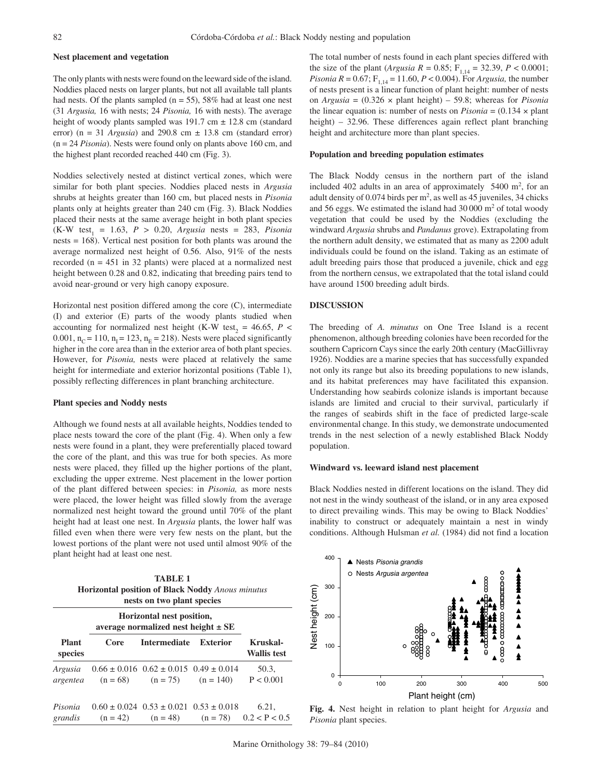### **Nest placement and vegetation**

The only plants with nests were found on the leeward side of the island. Noddies placed nests on larger plants, but not all available tall plants had nests. Of the plants sampled  $(n = 55)$ , 58% had at least one nest (31 *Argusia,* 16 with nests; 24 *Pisonia,* 16 with nests). The average height of woody plants sampled was 191.7 cm  $\pm$  12.8 cm (standard error) ( $n = 31$  *Argusia*) and 290.8 cm  $\pm$  13.8 cm (standard error) (n = 24 *Pisonia*). Nests were found only on plants above 160 cm, and the highest plant recorded reached 440 cm (Fig. 3).

Noddies selectively nested at distinct vertical zones, which were similar for both plant species. Noddies placed nests in *Argusia* shrubs at heights greater than 160 cm, but placed nests in *Pisonia* plants only at heights greater than 240 cm (Fig. 3). Black Noddies placed their nests at the same average height in both plant species (K-W test1 = 1.63, *P* > 0.20, *Argusia* nests = 283, *Pisonia* nests = 168). Vertical nest position for both plants was around the average normalized nest height of 0.56. Also, 91% of the nests recorded (n = 451 in 32 plants) were placed at a normalized nest height between 0.28 and 0.82, indicating that breeding pairs tend to avoid near-ground or very high canopy exposure.

Horizontal nest position differed among the core (C), intermediate (I) and exterior (E) parts of the woody plants studied when accounting for normalized nest height (K-W test<sub>2</sub> = 46.65, *P* < 0.001,  $n_c = 110$ ,  $n_1 = 123$ ,  $n_E = 218$ ). Nests were placed significantly higher in the core area than in the exterior area of both plant species. However, for *Pisonia,* nests were placed at relatively the same height for intermediate and exterior horizontal positions (Table 1), possibly reflecting differences in plant branching architecture.

#### **Plant species and Noddy nests**

Although we found nests at all available heights, Noddies tended to place nests toward the core of the plant (Fig. 4). When only a few nests were found in a plant, they were preferentially placed toward the core of the plant, and this was true for both species. As more nests were placed, they filled up the higher portions of the plant, excluding the upper extreme. Nest placement in the lower portion of the plant differed between species: in *Pisonia,* as more nests were placed, the lower height was filled slowly from the average normalized nest height toward the ground until 70% of the plant height had at least one nest. In *Argusia* plants, the lower half was filled even when there were very few nests on the plant, but the lowest portions of the plant were not used until almost 90% of the plant height had at least one nest.

| <b>TABLE 1</b><br><b>Horizontal position of Black Noddy Anous minutus</b><br>nests on two plant species |                                                                      |                                                                                                        |          |                                |
|---------------------------------------------------------------------------------------------------------|----------------------------------------------------------------------|--------------------------------------------------------------------------------------------------------|----------|--------------------------------|
|                                                                                                         | Horizontal nest position,<br>average normalized nest height $\pm$ SE |                                                                                                        |          |                                |
| <b>Plant</b><br>species                                                                                 | Core                                                                 | <b>Intermediate</b>                                                                                    | Exterior | Kruskal-<br><b>Wallis test</b> |
| Argusia<br>argentea                                                                                     |                                                                      | $0.66 \pm 0.016$ $0.62 \pm 0.015$ $0.49 \pm 0.014$<br>$(n = 68)$ $(n = 75)$ $(n = 140)$ $P < 0.001$    |          | 50.3.                          |
| Pisonia<br>grandis                                                                                      |                                                                      | $0.60 \pm 0.024$ $0.53 \pm 0.021$ $0.53 \pm 0.018$<br>$(n = 42)$ $(n = 48)$ $(n = 78)$ $0.2 < P < 0.5$ |          | 6.21,                          |

The total number of nests found in each plant species differed with the size of the plant (*Argusia*  $R = 0.85$ ;  $F_{1,14} = 32.39$ ,  $P < 0.0001$ ; *Pisonia*  $R = 0.67$ ;  $F_{1,14} = 11.60$ ,  $P < 0.004$ ). For *Argusia*, the number of nests present is a linear function of plant height: number of nests on *Argusia* = (0.326 × plant height) – 59.8; whereas for *Pisonia* the linear equation is: number of nests on  $Pisonia = (0.134 \times plant$ height) – 32.96. These differences again reflect plant branching height and architecture more than plant species.

#### **Population and breeding population estimates**

The Black Noddy census in the northern part of the island included 402 adults in an area of approximately  $5400 \text{ m}^2$ , for an adult density of  $0.074$  birds per  $m^2$ , as well as 45 juveniles, 34 chicks and 56 eggs. We estimated the island had 30 000 m<sup>2</sup> of total woody vegetation that could be used by the Noddies (excluding the windward *Argusia* shrubs and *Pandanus* grove). Extrapolating from the northern adult density, we estimated that as many as 2200 adult individuals could be found on the island. Taking as an estimate of adult breeding pairs those that produced a juvenile, chick and egg from the northern census, we extrapolated that the total island could have around 1500 breeding adult birds.

#### **DISCUSSION**

The breeding of *A. minutus* on One Tree Island is a recent phenomenon, although breeding colonies have been recorded for the southern Capricorn Cays since the early 20th century (MacGillivray 1926). Noddies are a marine species that has successfully expanded not only its range but also its breeding populations to new islands, and its habitat preferences may have facilitated this expansion. Understanding how seabirds colonize islands is important because islands are limited and crucial to their survival, particularly if the ranges of seabirds shift in the face of predicted large-scale environmental change. In this study, we demonstrate undocumented trends in the nest selection of a newly established Black Noddy population.

# **Windward vs. leeward island nest placement**

Black Noddies nested in different locations on the island. They did not nest in the windy southeast of the island, or in any area exposed to direct prevailing winds. This may be owing to Black Noddies' inability to construct or adequately maintain a nest in windy conditions. Although Hulsman *et al.* (1984) did not find a location



**Fig. 4.** Nest height in relation to plant height for *Argusia* and *Pisonia* plant species.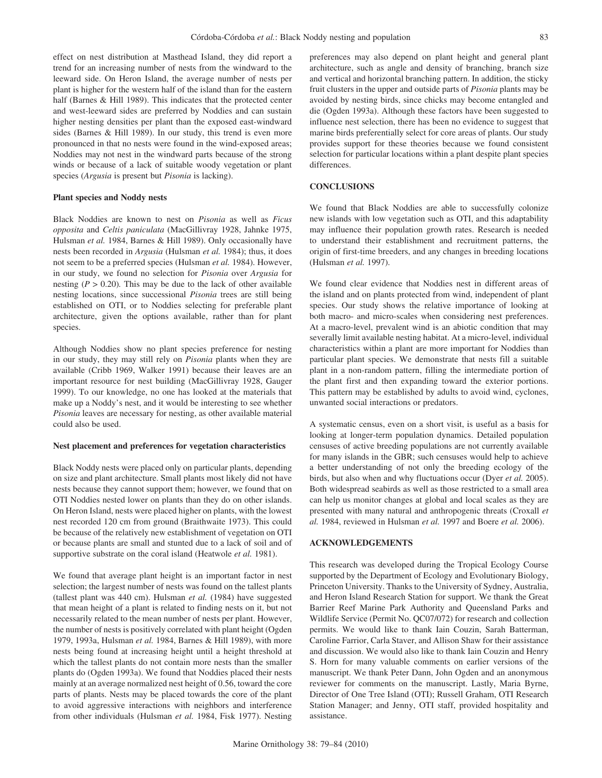effect on nest distribution at Masthead Island, they did report a trend for an increasing number of nests from the windward to the leeward side. On Heron Island, the average number of nests per plant is higher for the western half of the island than for the eastern half (Barnes & Hill 1989). This indicates that the protected center and west-leeward sides are preferred by Noddies and can sustain higher nesting densities per plant than the exposed east-windward sides (Barnes & Hill 1989). In our study, this trend is even more pronounced in that no nests were found in the wind-exposed areas; Noddies may not nest in the windward parts because of the strong winds or because of a lack of suitable woody vegetation or plant species (*Argusia* is present but *Pisonia* is lacking).

#### **Plant species and Noddy nests**

Black Noddies are known to nest on *Pisonia* as well as *Ficus opposita* and *Celtis paniculata* (MacGillivray 1928, Jahnke 1975, Hulsman *et al.* 1984, Barnes & Hill 1989). Only occasionally have nests been recorded in *Argusia* (Hulsman *et al.* 1984); thus, it does not seem to be a preferred species (Hulsman *et al.* 1984). However, in our study, we found no selection for *Pisonia* over *Argusia* for nesting ( $P > 0.20$ ). This may be due to the lack of other available nesting locations, since successional *Pisonia* trees are still being established on OTI, or to Noddies selecting for preferable plant architecture, given the options available, rather than for plant species.

Although Noddies show no plant species preference for nesting in our study, they may still rely on *Pisonia* plants when they are available (Cribb 1969, Walker 1991) because their leaves are an important resource for nest building (MacGillivray 1928, Gauger 1999). To our knowledge, no one has looked at the materials that make up a Noddy's nest, and it would be interesting to see whether *Pisonia* leaves are necessary for nesting, as other available material could also be used.

#### **Nest placement and preferences for vegetation characteristics**

Black Noddy nests were placed only on particular plants, depending on size and plant architecture. Small plants most likely did not have nests because they cannot support them; however, we found that on OTI Noddies nested lower on plants than they do on other islands. On Heron Island, nests were placed higher on plants, with the lowest nest recorded 120 cm from ground (Braithwaite 1973). This could be because of the relatively new establishment of vegetation on OTI or because plants are small and stunted due to a lack of soil and of supportive substrate on the coral island (Heatwole *et al.* 1981).

We found that average plant height is an important factor in nest selection; the largest number of nests was found on the tallest plants (tallest plant was 440 cm). Hulsman *et al.* (1984) have suggested that mean height of a plant is related to finding nests on it, but not necessarily related to the mean number of nests per plant. However, the number of nests is positively correlated with plant height (Ogden 1979, 1993a, Hulsman *et al.* 1984, Barnes & Hill 1989), with more nests being found at increasing height until a height threshold at which the tallest plants do not contain more nests than the smaller plants do (Ogden 1993a). We found that Noddies placed their nests mainly at an average normalized nest height of 0.56, toward the core parts of plants. Nests may be placed towards the core of the plant to avoid aggressive interactions with neighbors and interference from other individuals (Hulsman *et al.* 1984, Fisk 1977). Nesting preferences may also depend on plant height and general plant architecture, such as angle and density of branching, branch size and vertical and horizontal branching pattern. In addition, the sticky fruit clusters in the upper and outside parts of *Pisonia* plants may be avoided by nesting birds, since chicks may become entangled and die (Ogden 1993a). Although these factors have been suggested to influence nest selection, there has been no evidence to suggest that marine birds preferentially select for core areas of plants. Our study provides support for these theories because we found consistent selection for particular locations within a plant despite plant species differences.

#### **CONCLUSIONS**

We found that Black Noddies are able to successfully colonize new islands with low vegetation such as OTI, and this adaptability may influence their population growth rates. Research is needed to understand their establishment and recruitment patterns, the origin of first-time breeders, and any changes in breeding locations (Hulsman *et al.* 1997).

We found clear evidence that Noddies nest in different areas of the island and on plants protected from wind, independent of plant species. Our study shows the relative importance of looking at both macro- and micro-scales when considering nest preferences. At a macro-level, prevalent wind is an abiotic condition that may severally limit available nesting habitat. At a micro-level, individual characteristics within a plant are more important for Noddies than particular plant species. We demonstrate that nests fill a suitable plant in a non-random pattern, filling the intermediate portion of the plant first and then expanding toward the exterior portions. This pattern may be established by adults to avoid wind, cyclones, unwanted social interactions or predators.

A systematic census, even on a short visit, is useful as a basis for looking at longer-term population dynamics. Detailed population censuses of active breeding populations are not currently available for many islands in the GBR; such censuses would help to achieve a better understanding of not only the breeding ecology of the birds, but also when and why fluctuations occur (Dyer *et al.* 2005). Both widespread seabirds as well as those restricted to a small area can help us monitor changes at global and local scales as they are presented with many natural and anthropogenic threats (Croxall *et al.* 1984, reviewed in Hulsman *et al.* 1997 and Boere *et al.* 2006).

# **ACKNOWLEDGEMENTS**

This research was developed during the Tropical Ecology Course supported by the Department of Ecology and Evolutionary Biology, Princeton University. Thanks to the University of Sydney, Australia, and Heron Island Research Station for support. We thank the Great Barrier Reef Marine Park Authority and Queensland Parks and Wildlife Service (Permit No. QC07/072) for research and collection permits. We would like to thank Iain Couzin, Sarah Batterman, Caroline Farrior, Carla Staver, and Allison Shaw for their assistance and discussion. We would also like to thank Iain Couzin and Henry S. Horn for many valuable comments on earlier versions of the manuscript. We thank Peter Dann, John Ogden and an anonymous reviewer for comments on the manuscript. Lastly, Maria Byrne, Director of One Tree Island (OTI); Russell Graham, OTI Research Station Manager; and Jenny, OTI staff, provided hospitality and assistance.